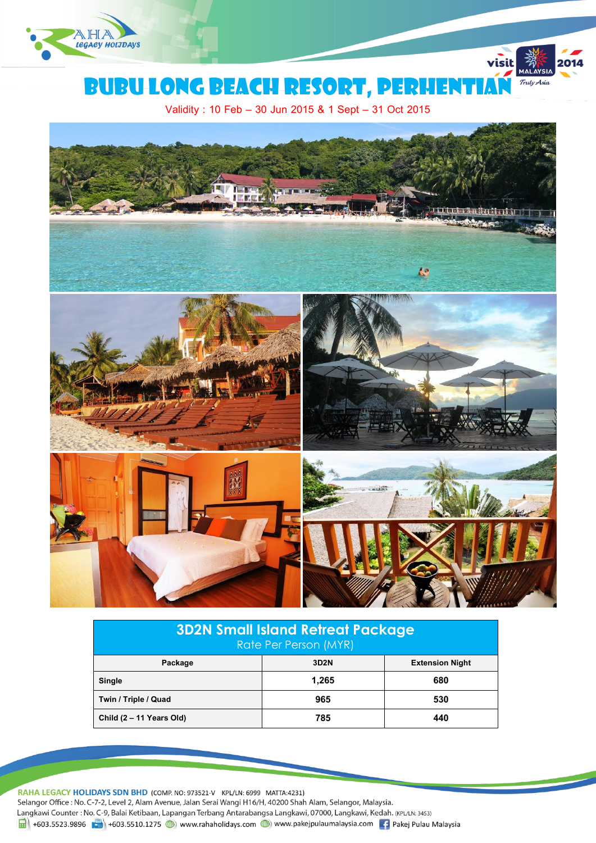



visit

Validity : 10 Feb – 30 Jun 2015 & 1 Sept – 31 Oct 2015



| <b>3D2N Small Island Retreat Package</b><br>Rate Per Person (MYR) |       |                        |  |
|-------------------------------------------------------------------|-------|------------------------|--|
| Package                                                           | 3D2N  | <b>Extension Night</b> |  |
| Single                                                            | 1.265 | 680                    |  |
| Twin / Triple / Quad                                              | 965   | 530                    |  |
| Child (2 - 11 Years Old)                                          | 785   | 440                    |  |

RAHA LEGACY HOLIDAYS SDN BHD (COMP. NO: 973521-V KPL/LN: 6999 MATTA:4231) Selangor Office : No. C-7-2, Level 2, Alam Avenue, Jalan Serai Wangi H16/H, 40200 Shah Alam, Selangor, Malaysia. Langkawi Counter : No. C-9, Balai Ketibaan, Lapangan Terbang Antarabangsa Langkawi, 07000, Langkawi, Kedah. (KPL/LN: 3453) 1 +603.5523.9896 +603.5510.1275 (b) www.rahaholidays.com (b) www.pakejpulaumalaysia.com + Pakej Pulau Malaysia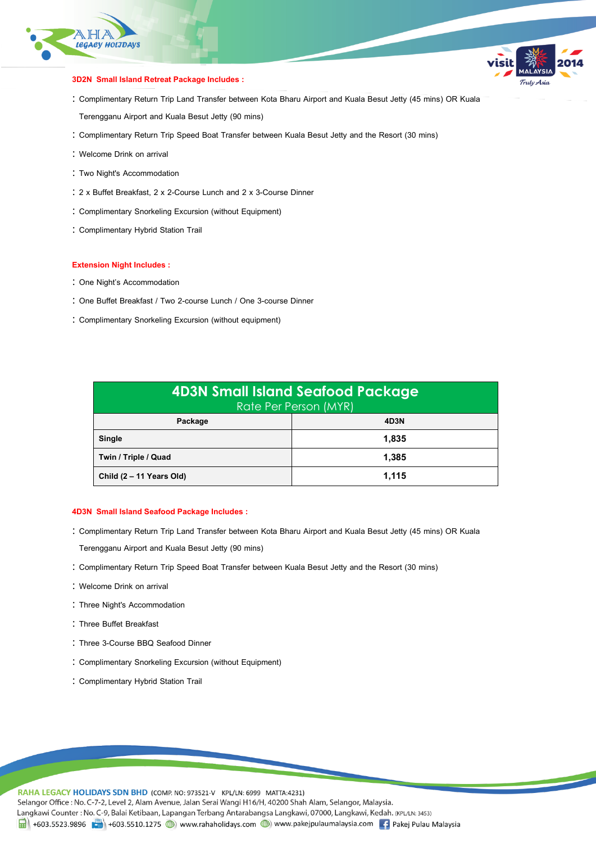

### **3D2N Small Island Retreat Package Includes :**

 Complimentary Return Trip Land Transfer between Kota Bharu Airport and Kuala Besut Jetty (45 mins) OR Kuala Terengganu Airport and Kuala Besut Jetty (90 mins)

Fulv Asia

- Complimentary Return Trip Speed Boat Transfer between Kuala Besut Jetty and the Resort (30 mins)
- Welcome Drink on arrival
- : Two Night's Accommodation
- 2 x Buffet Breakfast, 2 x 2-Course Lunch and 2 x 3-Course Dinner
- Complimentary Snorkeling Excursion (without Equipment)
- Complimentary Hybrid Station Trail

#### **Extension Night Includes :**

- : One Night's Accommodation
- One Buffet Breakfast / Two 2-course Lunch / One 3-course Dinner
- Complimentary Snorkeling Excursion (without equipment)

| <b>4D3N Small Island Seafood Package</b><br>Rate Per Person (MYR) |       |  |
|-------------------------------------------------------------------|-------|--|
| Package                                                           | 4D3N  |  |
| <b>Single</b>                                                     | 1.835 |  |
| Twin / Triple / Quad                                              | 1.385 |  |
| Child (2 - 11 Years Old)                                          | 1.115 |  |

#### **4D3N Small Island Seafood Package Includes :**

- Complimentary Return Trip Land Transfer between Kota Bharu Airport and Kuala Besut Jetty (45 mins) OR Kuala
- Terengganu Airport and Kuala Besut Jetty (90 mins)
- Complimentary Return Trip Speed Boat Transfer between Kuala Besut Jetty and the Resort (30 mins)
- Welcome Drink on arrival
- : Three Night's Accommodation
- Three Buffet Breakfast
- Three 3-Course BBQ Seafood Dinner
- Complimentary Snorkeling Excursion (without Equipment)
- : Complimentary Hybrid Station Trail

RAHA LEGACY HOLIDAYS SDN BHD (COMP. NO: 973521-V KPL/LN: 6999 MATTA:4231) Selangor Office : No. C-7-2, Level 2, Alam Avenue, Jalan Serai Wangi H16/H, 40200 Shah Alam, Selangor, Malaysia. Langkawi Counter: No. C-9, Balai Ketibaan, Lapangan Terbang Antarabangsa Langkawi, 07000, Langkawi, Kedah. (KPL/LN: 3453) 1 +603.5523.9896 + +603.5510.1275 (b) www.rahaholidays.com (b) www.pakejpulaumalaysia.com (f) Pakej Pulau Malaysia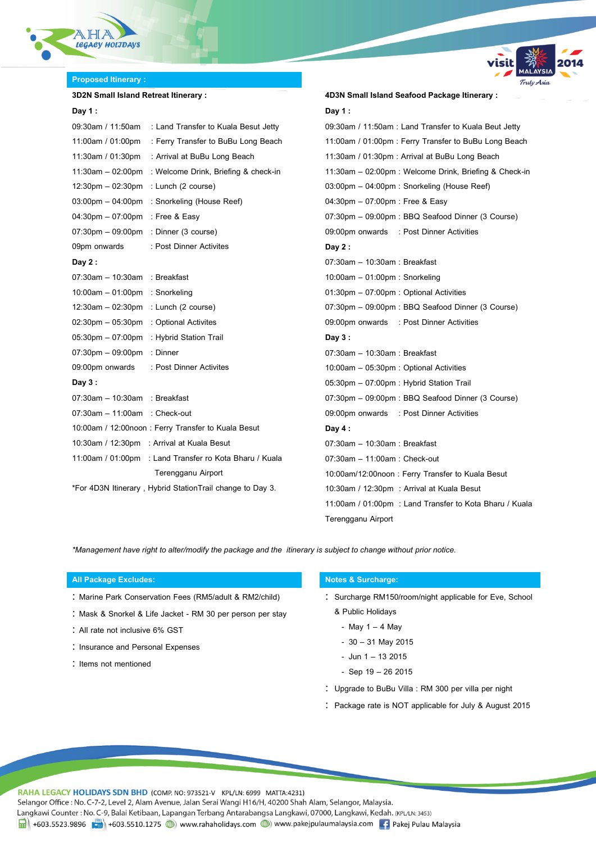

# **Proposed Itinerary:**

# **3D2N Small Island Retreat Itinerary :**

## **Day 1 :**

|                                                           | 09:30am / 11:50am : Land Transfer to Kuala Besut Jetty  |  |
|-----------------------------------------------------------|---------------------------------------------------------|--|
| 11:00am / 01:00pm                                         | : Ferry Transfer to BuBu Long Beach                     |  |
|                                                           | 11:30am / 01:30pm : Arrival at BuBu Long Beach          |  |
| $11:30$ am $-02:00$ pm                                    | : Welcome Drink, Briefing & check-in                    |  |
| $12:30 \text{pm} - 02:30 \text{pm}$                       | : Lunch (2 course)                                      |  |
| $03:00 \text{pm} - 04:00 \text{pm}$                       | : Snorkeling (House Reef)                               |  |
| 04:30pm - 07:00pm : Free & Easy                           |                                                         |  |
| $07:30 \text{pm} - 09:00 \text{pm}$ : Dinner (3 course)   |                                                         |  |
| 09pm onwards                                              | : Post Dinner Activites                                 |  |
| Day $2:$                                                  |                                                         |  |
| 07:30am - 10:30am : Breakfast                             |                                                         |  |
| 10:00am - 01:00pm : Snorkeling                            |                                                         |  |
| $12:30am - 02:30pm$ : Lunch (2 course)                    |                                                         |  |
| 02:30pm - 05:30pm : Optional Activites                    |                                                         |  |
| 05:30pm - 07:00pm : Hybrid Station Trail                  |                                                         |  |
| 07:30pm - 09:00pm : Dinner                                |                                                         |  |
|                                                           | 09:00pm onwards : Post Dinner Activites                 |  |
| Day $3:$                                                  |                                                         |  |
| 07:30am - 10:30am : Breakfast                             |                                                         |  |
| 07:30am - 11:00am : Check-out                             |                                                         |  |
|                                                           | 10:00am / 12:00noon: Ferry Transfer to Kuala Besut      |  |
|                                                           | 10:30am / 12:30pm : Arrival at Kuala Besut              |  |
|                                                           | 11:00am / 01:00pm : Land Transfer ro Kota Bharu / Kuala |  |
|                                                           | Terengganu Airport                                      |  |
| *For 4D3N Itinerary, Hybrid StationTrail change to Day 3. |                                                         |  |

| Day 1 :                                                 |
|---------------------------------------------------------|
| 09:30am / 11:50am : Land Transfer to Kuala Beut Jetty   |
| 11:00am / 01:00pm : Ferry Transfer to BuBu Long Beach   |
| 11:30am / 01:30pm : Arrival at BuBu Long Beach          |
| 11:30am - 02:00pm : Welcome Drink, Briefing & Check-in  |
| 03:00pm - 04:00pm : Snorkeling (House Reef)             |
| 04:30pm - 07:00pm : Free & Easy                         |
| 07:30pm - 09:00pm : BBQ Seafood Dinner (3 Course)       |
| 09:00pm onwards : Post Dinner Activities                |
| Day 2:                                                  |
| 07:30am - 10:30am : Breakfast                           |
| 10:00am - 01:00pm : Snorkeling                          |
| 01:30pm - 07:00pm : Optional Activities                 |
| 07:30pm - 09:00pm : BBQ Seafood Dinner (3 Course)       |
| 09:00pm onwards : Post Dinner Activities                |
| Day $3:$                                                |
| 07:30am – 10:30am : Breakfast                           |
| 10:00am - 05:30pm : Optional Activities                 |
| 05:30pm - 07:00pm : Hybrid Station Trail                |
| 07:30pm - 09:00pm : BBQ Seafood Dinner (3 Course)       |
| 09:00pm onwards : Post Dinner Activities                |
| Day $4:$                                                |
| 07:30am - 10:30am : Breakfast                           |
| 07:30am - 11:00am: Check-out                            |
| 10:00am/12:00noon: Ferry Transfer to Kuala Besut        |
| 10:30am / 12:30pm : Arrival at Kuala Besut              |
| 11:00am / 01:00pm : Land Transfer to Kota Bharu / Kuala |
| Terengganu Airport                                      |
|                                                         |

**4D3N Small Island Seafood Package Itinerary :**

Truly Asia

*\*Management have right to alter/modify the package and the itinerary is subject to change without prior notice.*

### **All Package Excludes: Notes & Surcharge:**

- : Marine Park Conservation Fees (RM5/adult & RM2/child)
- : Mask & Snorkel & Life Jacket RM 30 per person per stay
- All rate not inclusive 6% GST
- : Insurance and Personal Expenses
- : Items not mentioned

- : Surcharge RM150/room/night applicable for Eve, School & Public Holidays
	- May  $1 4$  May
	- 30 31 May 2015
	- Jun 1 13 2015
	- Sep 19 26 2015
- Upgrade to BuBu Villa : RM 300 per villa per night
- Package rate is NOT applicable for July & August 2015

RAHA LEGACY HOLIDAYS SDN BHD (COMP. NO: 973521-V KPL/LN: 6999 MATTA:4231)

Selangor Office : No. C-7-2, Level 2, Alam Avenue, Jalan Serai Wangi H16/H, 40200 Shah Alam, Selangor, Malaysia.

Langkawi Counter: No. C-9, Balai Ketibaan, Lapangan Terbang Antarabangsa Langkawi, 07000, Langkawi, Kedah. (KPL/LN: 3453)

1 +603.5523.9896 + +603.5510.1275 (b) www.rahaholidays.com (b) www.pakejpulaumalaysia.com (f) Pakej Pulau Malaysia